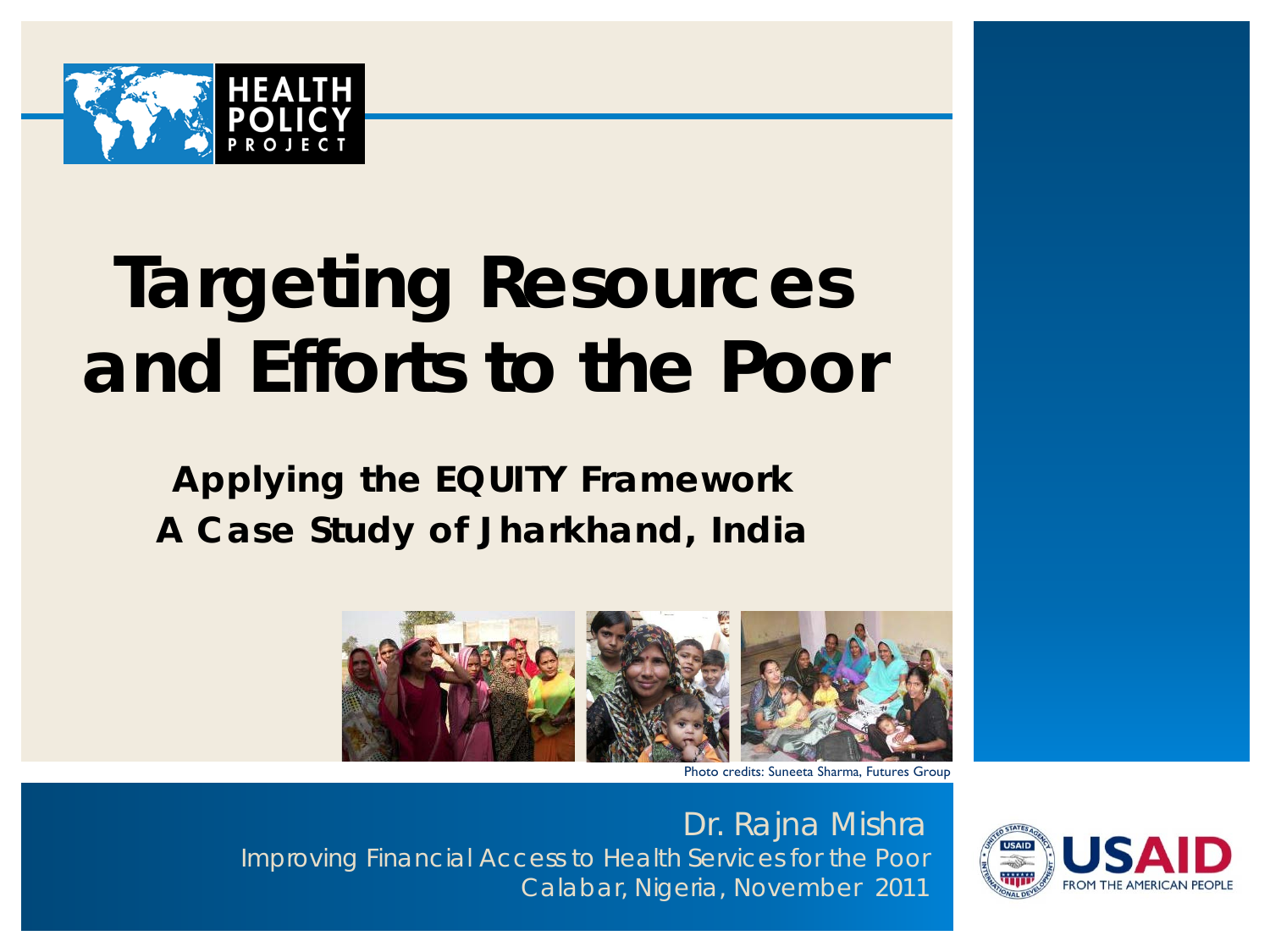

# **Targeting Resources and Efforts to the Poor**

**Applying the EQUITY Framework A Case Study of Jharkhand, India**



Photo credits: Suneeta Sharma, Futures Group

Dr. Rajna Mishra Improving Financial Access to Health Services for the Poor Calabar, Nigeria, November 2011

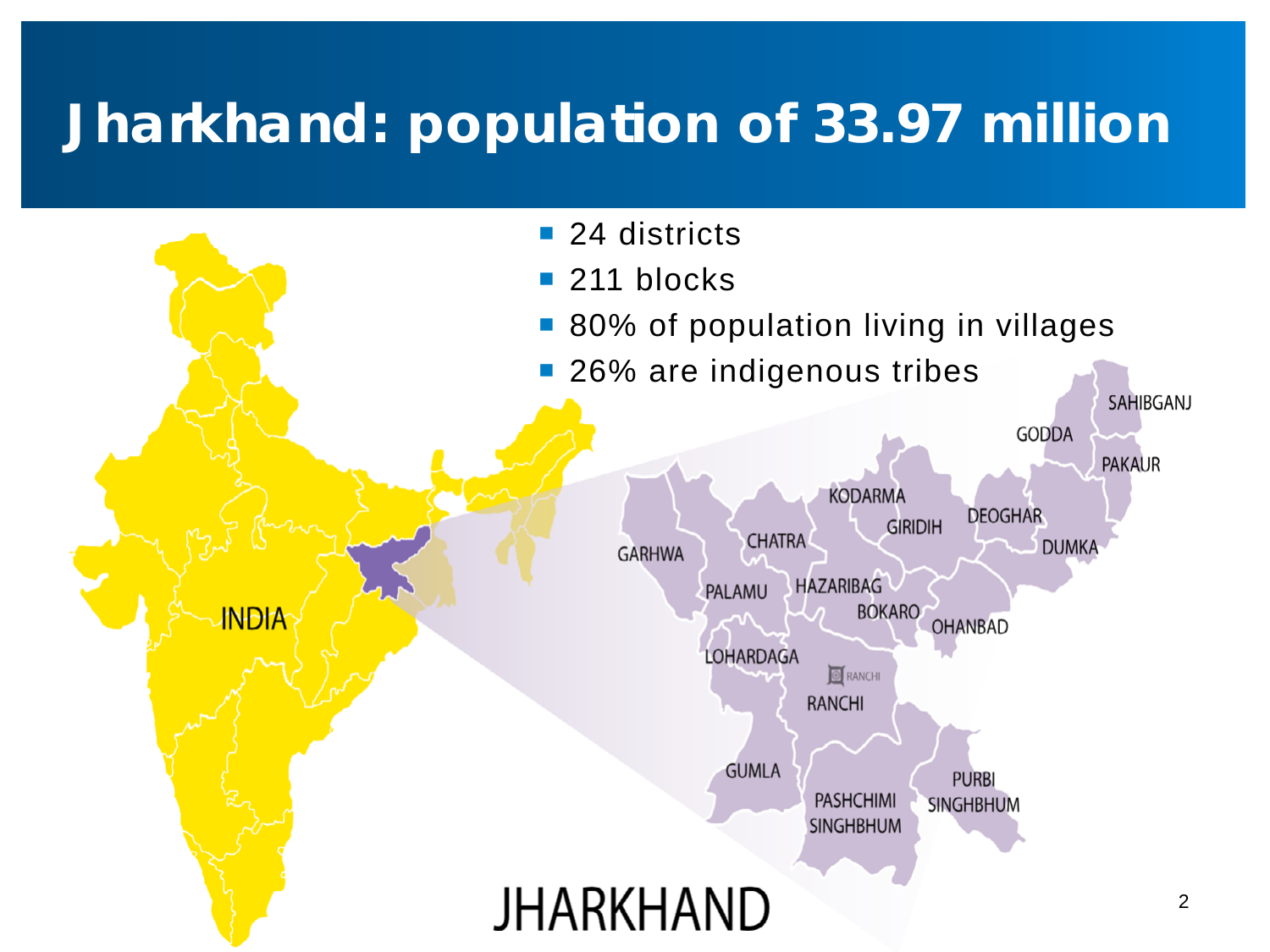## **Jharkhand: population of 33.97 million**

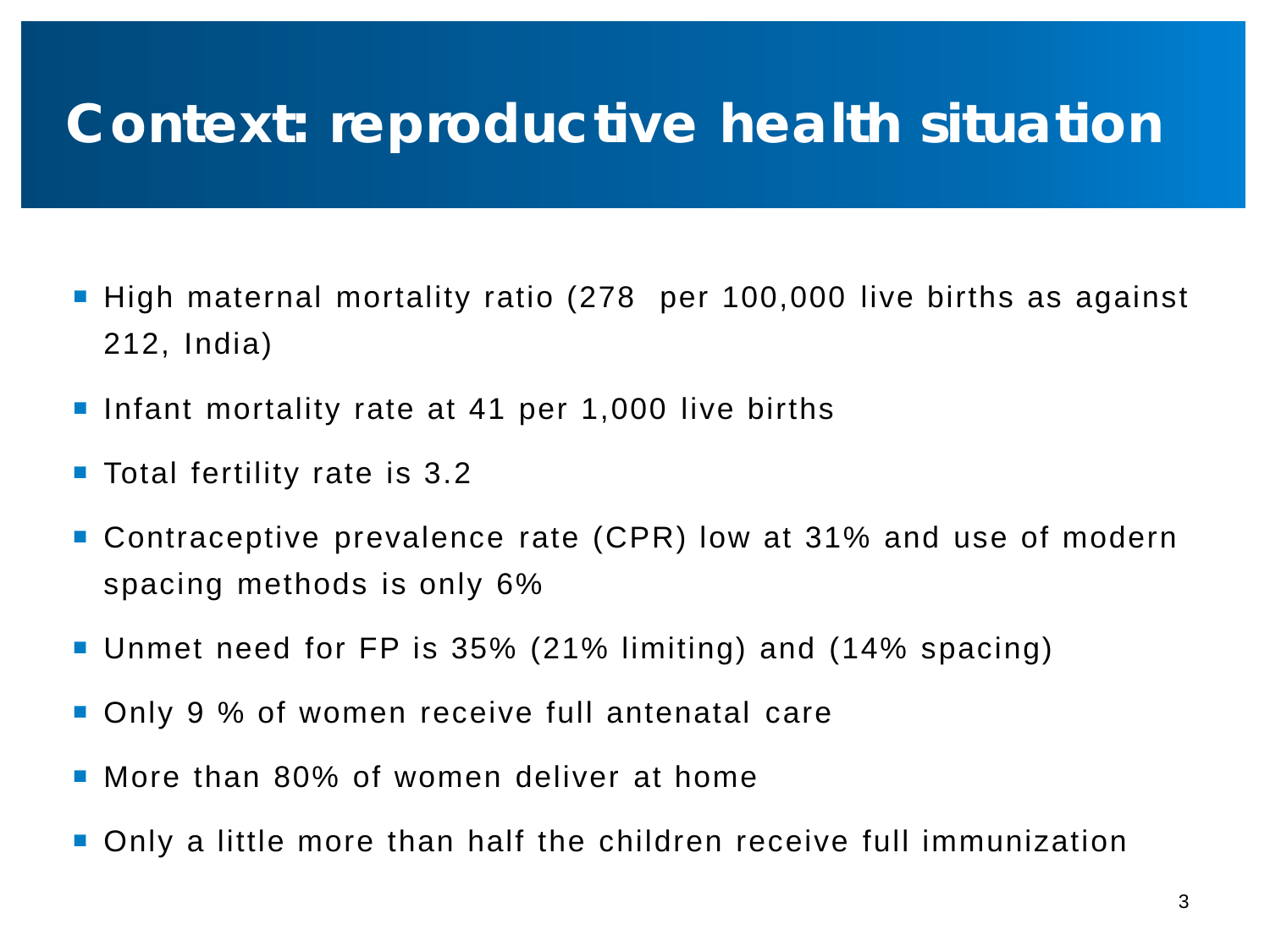### **Context: reproductive health situation**

- High maternal mortality ratio (278 per 100,000 live births as against 212, India)
- Infant mortality rate at 41 per 1,000 live births
- Total fertility rate is 3.2
- Contraceptive prevalence rate (CPR) low at 31% and use of modern spacing methods is only 6%
- Unmet need for FP is 35% (21% limiting) and (14% spacing)
- Only 9 % of women receive full antenatal care
- More than 80% of women deliver at home
- Only a little more than half the children receive full immunization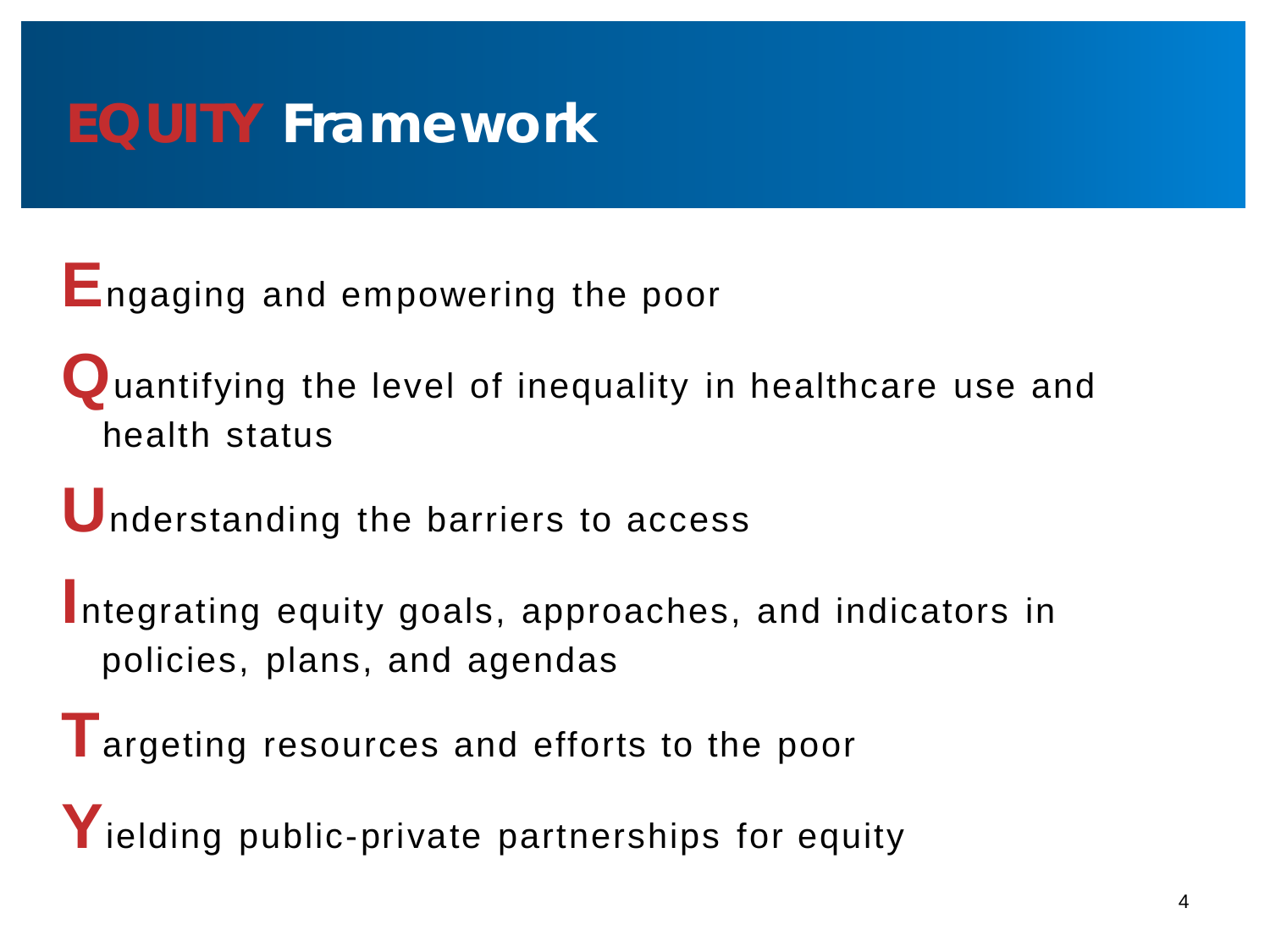### **EQUITY Framework**

**E**ngaging and empowering the poor

**Q**uantifying the level of inequality in healthcare use and health status

**U**nderstanding the barriers to access

**I**ntegrating equity goals, approaches, and indicators in policies, plans, and agendas

**T**argeting resources and efforts to the poor

Yielding public-private partnerships for equity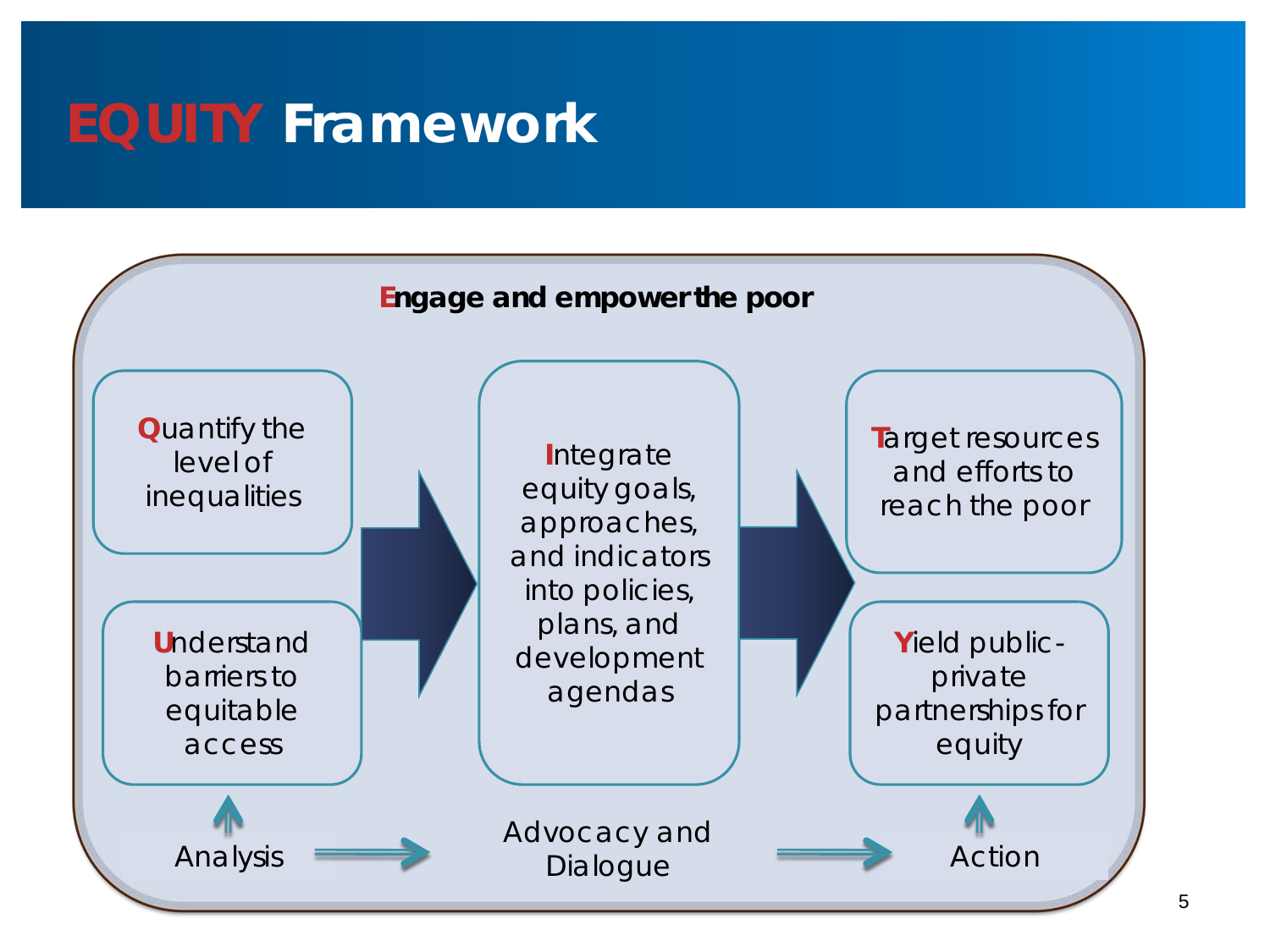### **EQUITY Framework**

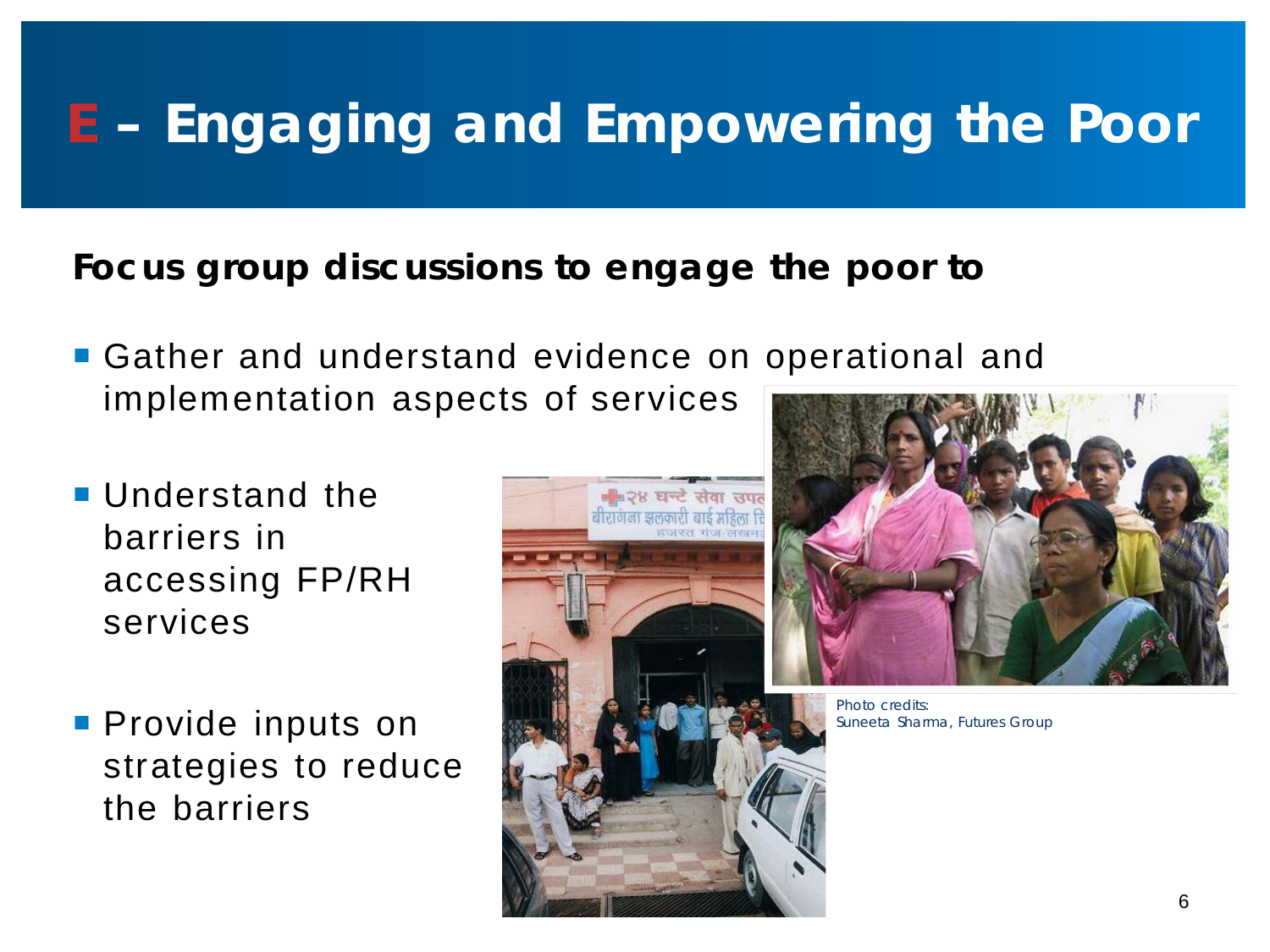## **E – Engaging and Empowering the Poor**

#### **Focus group discussions to engage the poor to**

- Gather and understand evidence on operational and implementation aspects of services
- **Understand the** barriers in accessing FP/RH services
- **Provide inputs on** strategies to reduce the barriers





Photo credits: Suneeta Sharma, Futures Group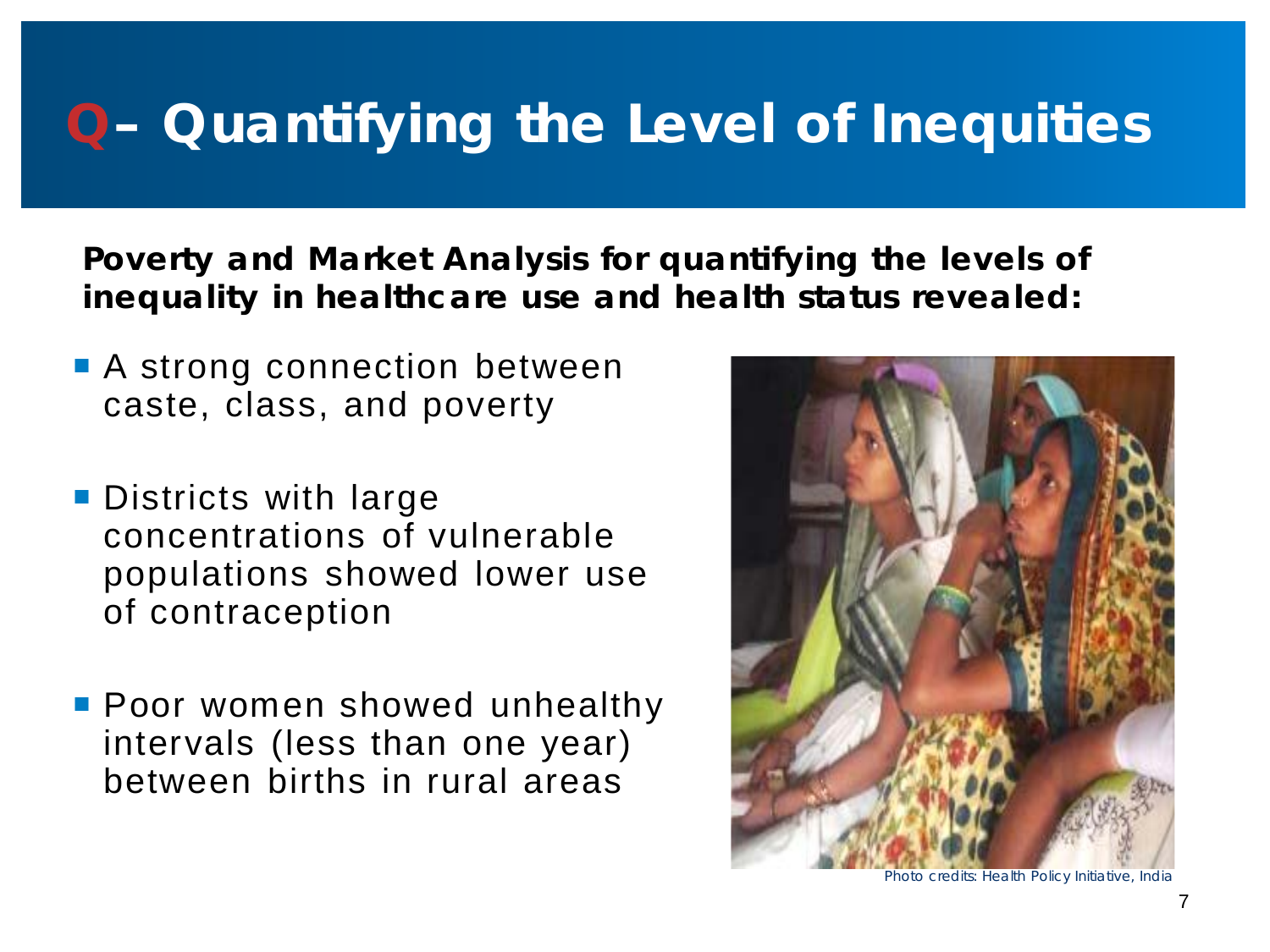## **Q– Quantifying the Level of Inequities**

**Poverty and Market Analysis for quantifying the levels of inequality in healthcare use and health status revealed:**

- **A** strong connection between caste, class, and poverty
- **Districts with large** concentrations of vulnerable populations showed lower use of contraception
- **Poor women showed unhealthy** intervals (less than one year) between births in rural areas



Photo credits: Health Policy Initiative, India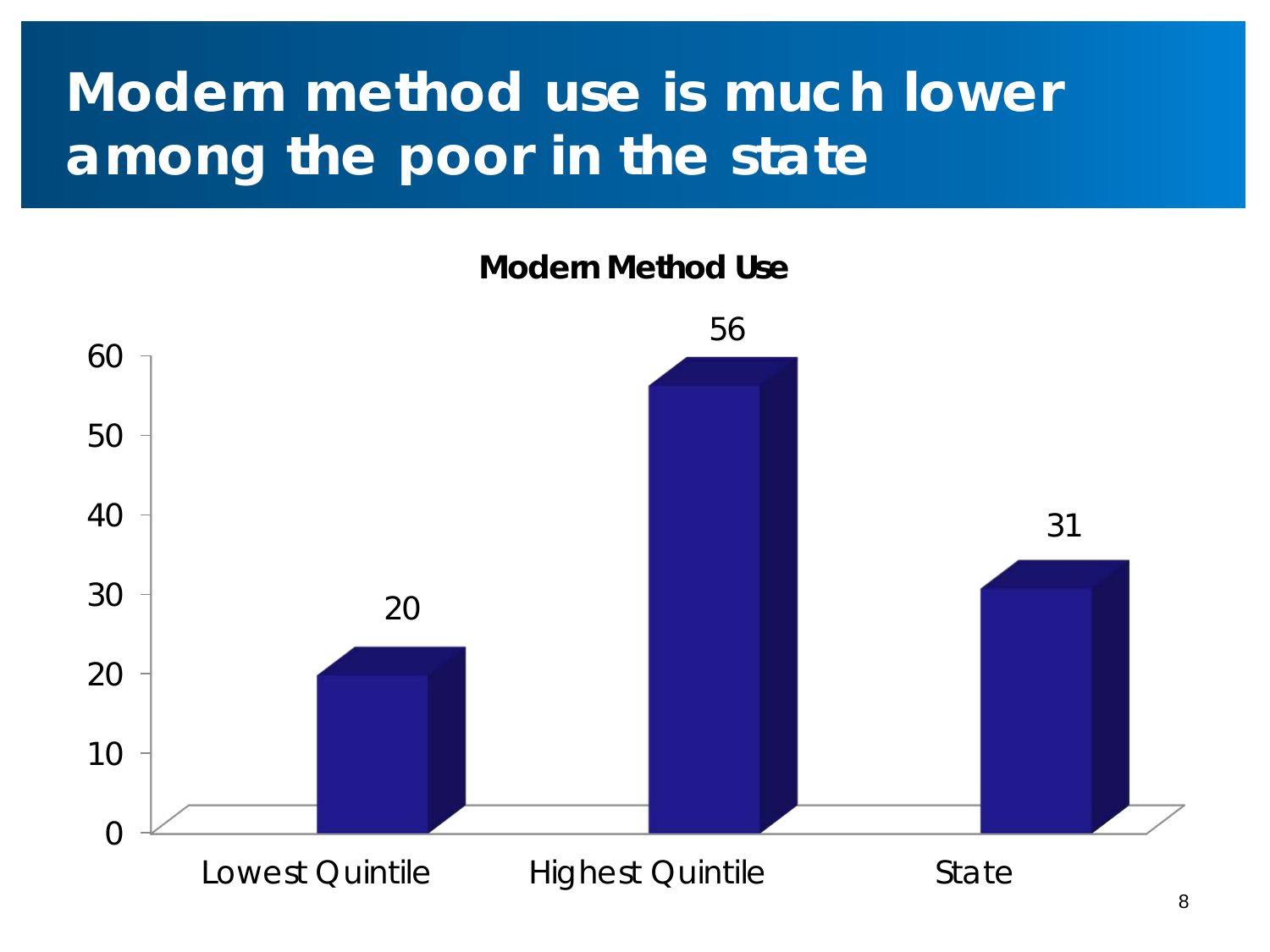## **Modern method use is much lower among the poor in the state**

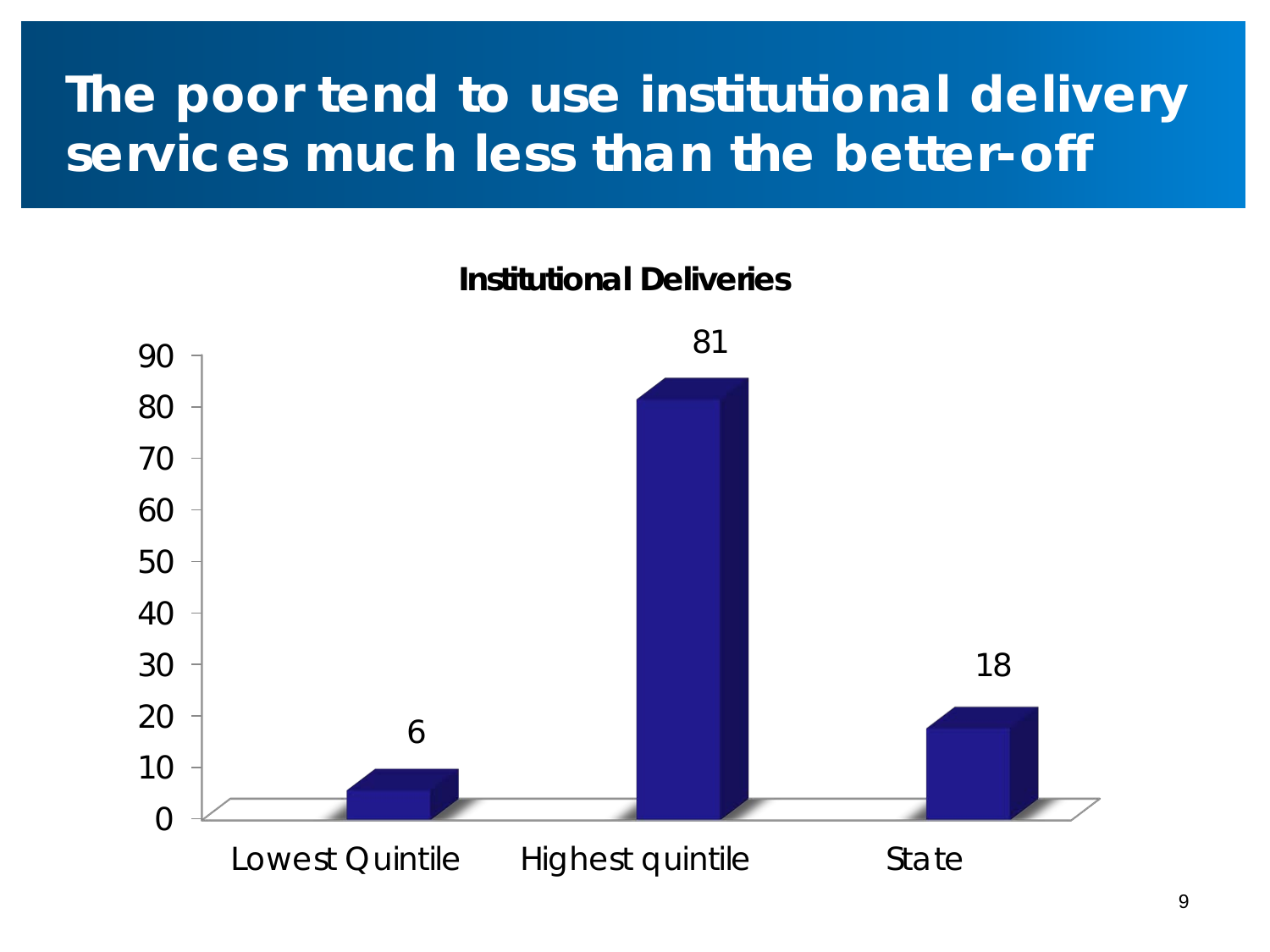### **The poor tend to use institutional delivery services much less than the better-off**



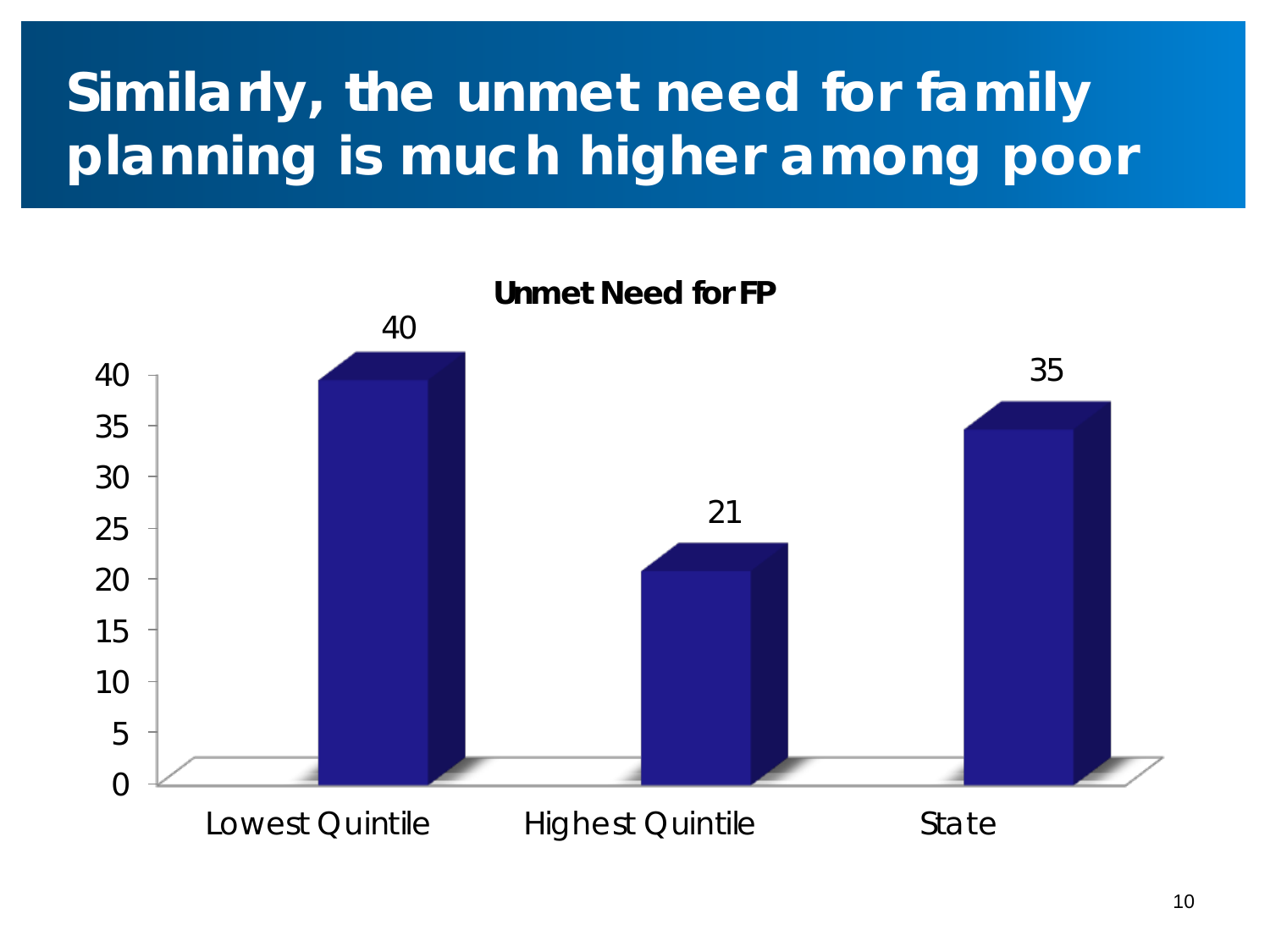## **Similarly, the unmet need for family planning is much higher among poor**

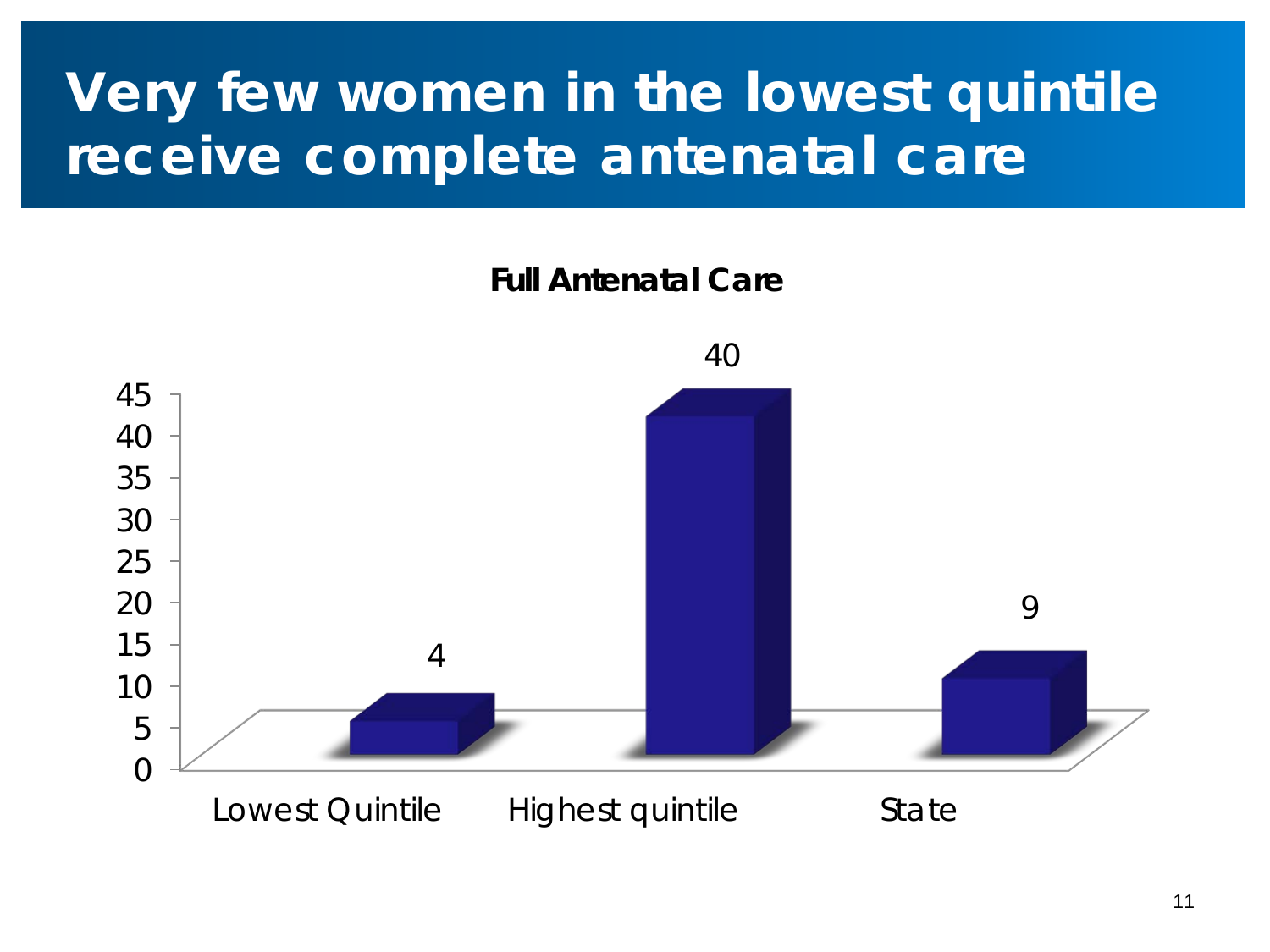## **Very few women in the lowest quintile receive complete antenatal care**

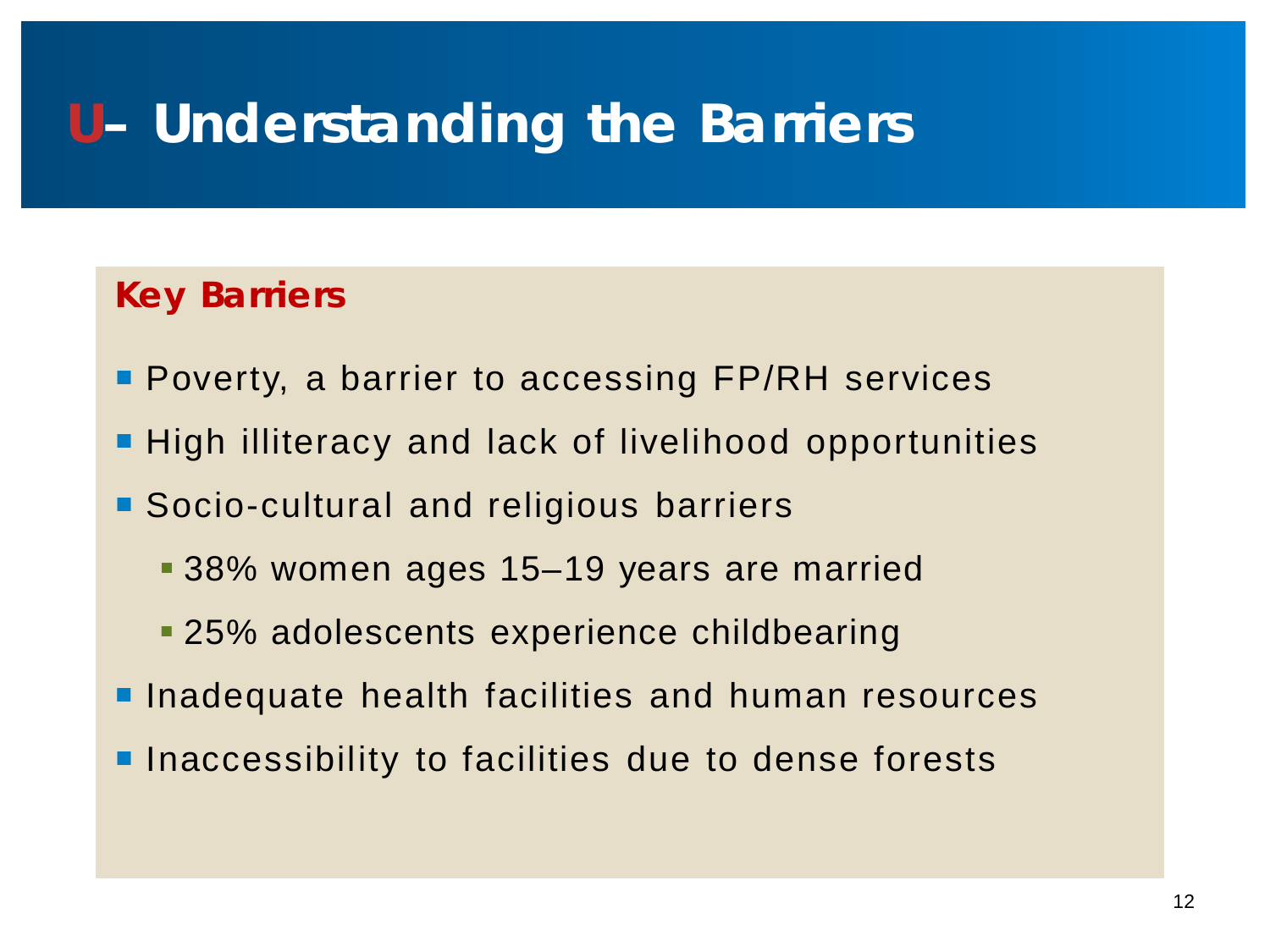### **U– Understanding the Barriers**

#### **Key Barriers**

- **Poverty, a barrier to accessing FP/RH services**
- **High illiteracy and lack of livelihood opportunities**
- **Socio-cultural and religious barriers** 
	- 38% women ages 15–19 years are married
	- 25% adolescents experience childbearing
- **Inadequate health facilities and human resources**
- **Inaccessibility to facilities due to dense forests**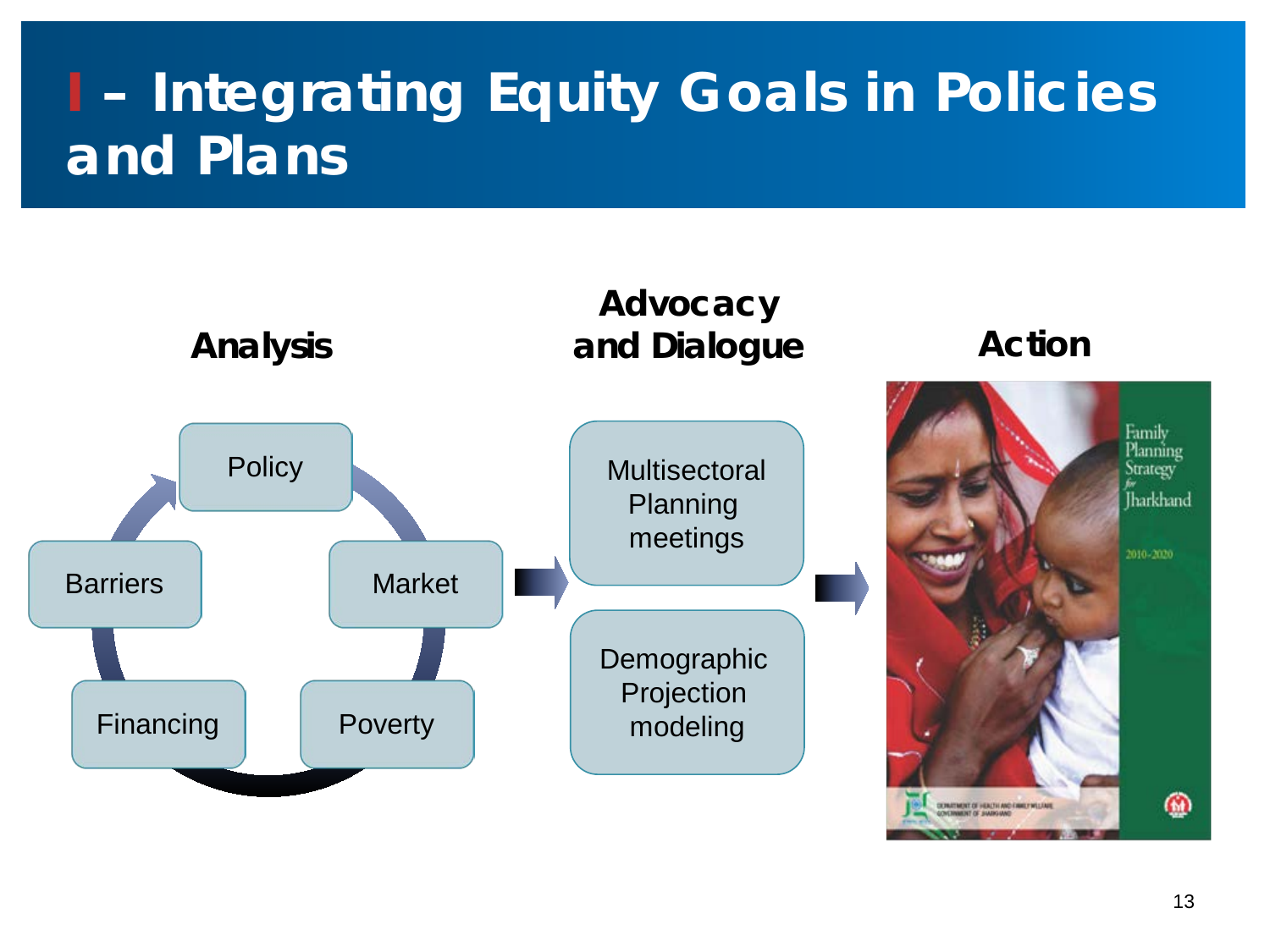## **I – Integrating Equity Goals in Policies and Plans**

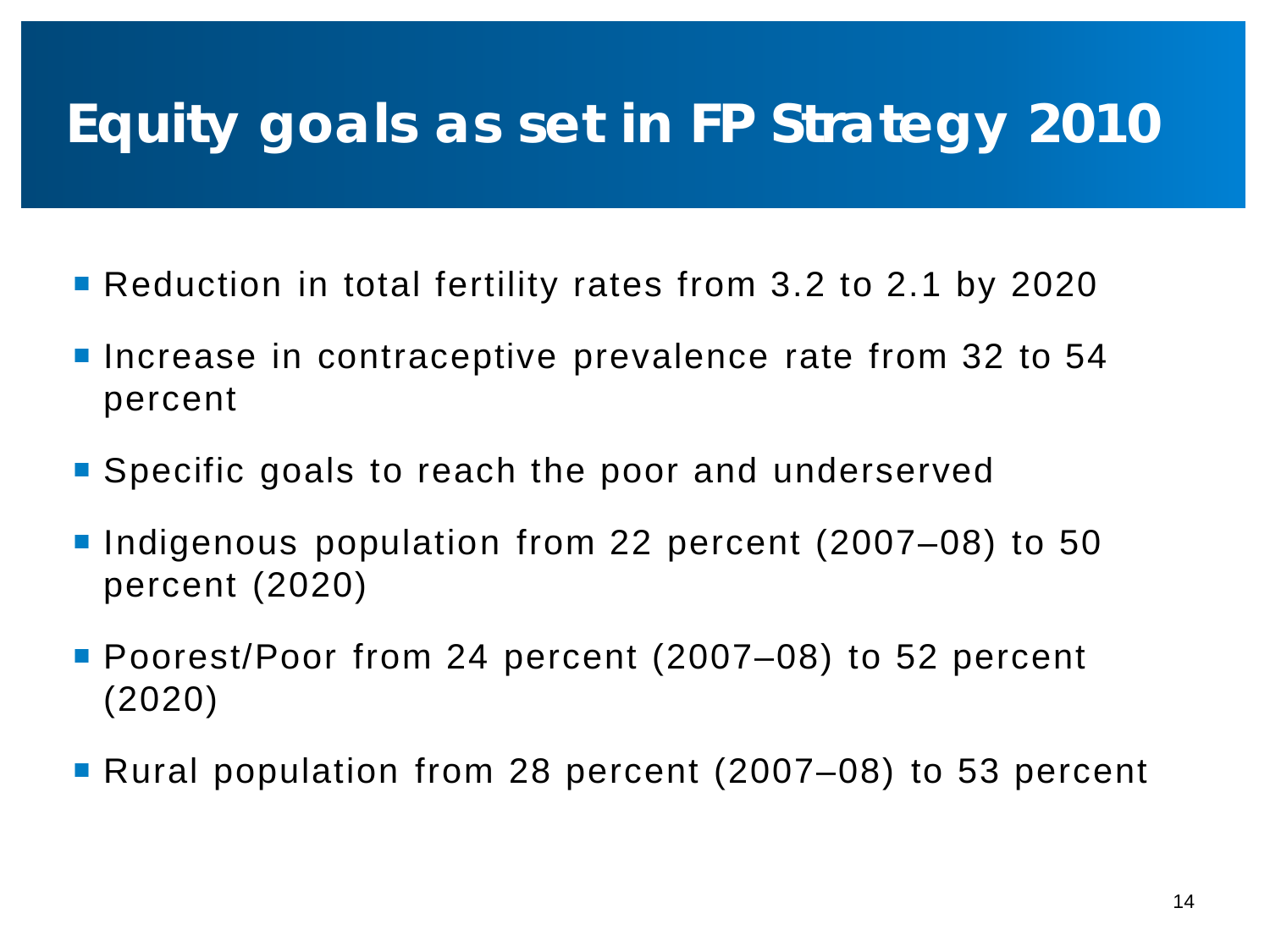## **Equity goals as set in FP Strategy 2010**

- **Reduction in total fertility rates from 3.2 to 2.1 by 2020**
- **Increase in contraceptive prevalence rate from 32 to 54** percent
- Specific goals to reach the poor and underserved
- Indigenous population from 22 percent (2007–08) to 50 percent (2020)
- Poorest/Poor from 24 percent (2007–08) to 52 percent (2020)
- Rural population from 28 percent (2007–08) to 53 percent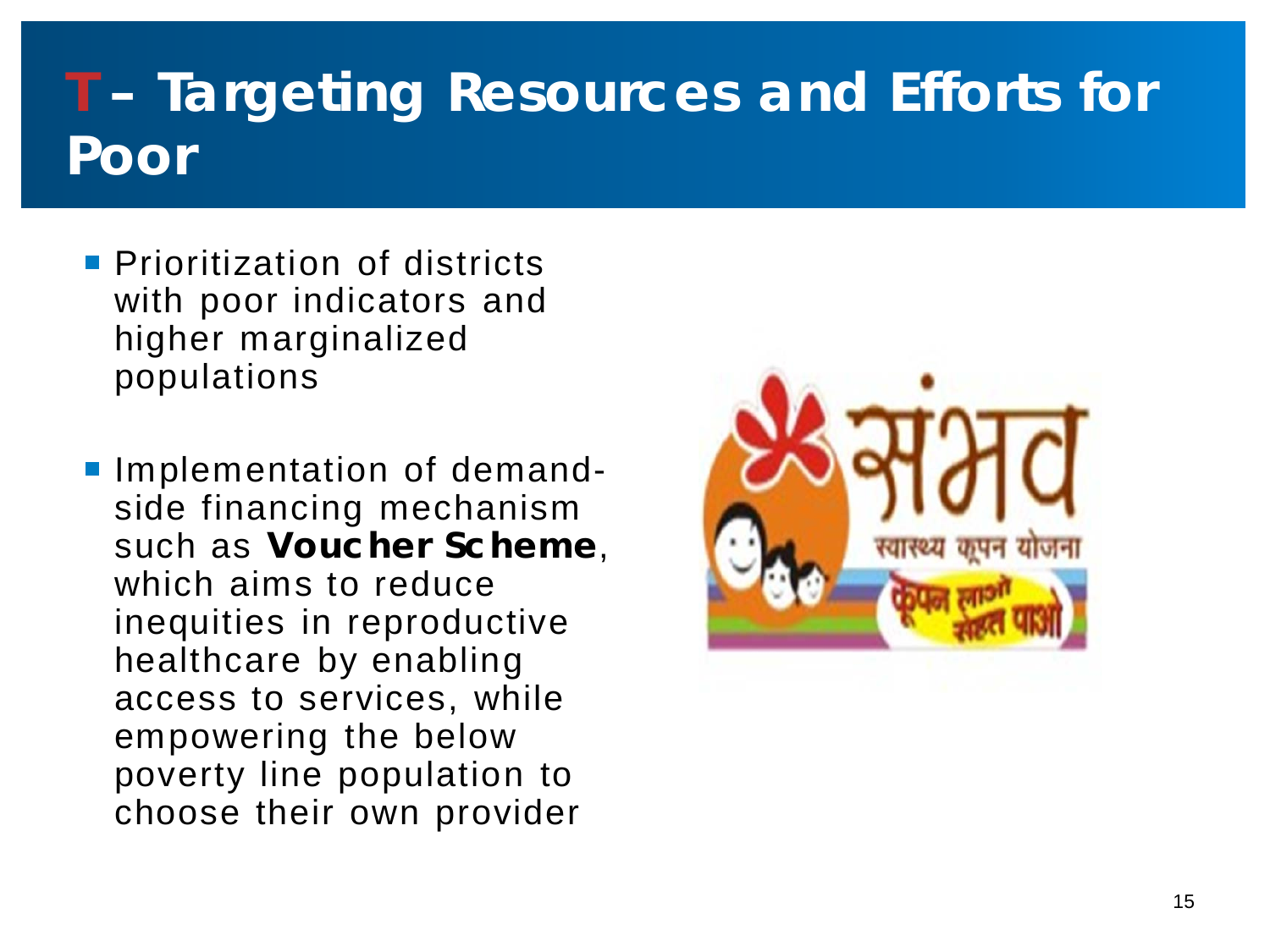## **T – Targeting Resources and Efforts for Poor**

- **Prioritization of districts** with poor indicators and higher marginalized populations
- **Implementation of demand**side financing mechanism such as **Voucher Scheme**, which aims to reduce inequities in reproductive healthcare by enabling access to services, while empowering the below poverty line population to choose their own provider

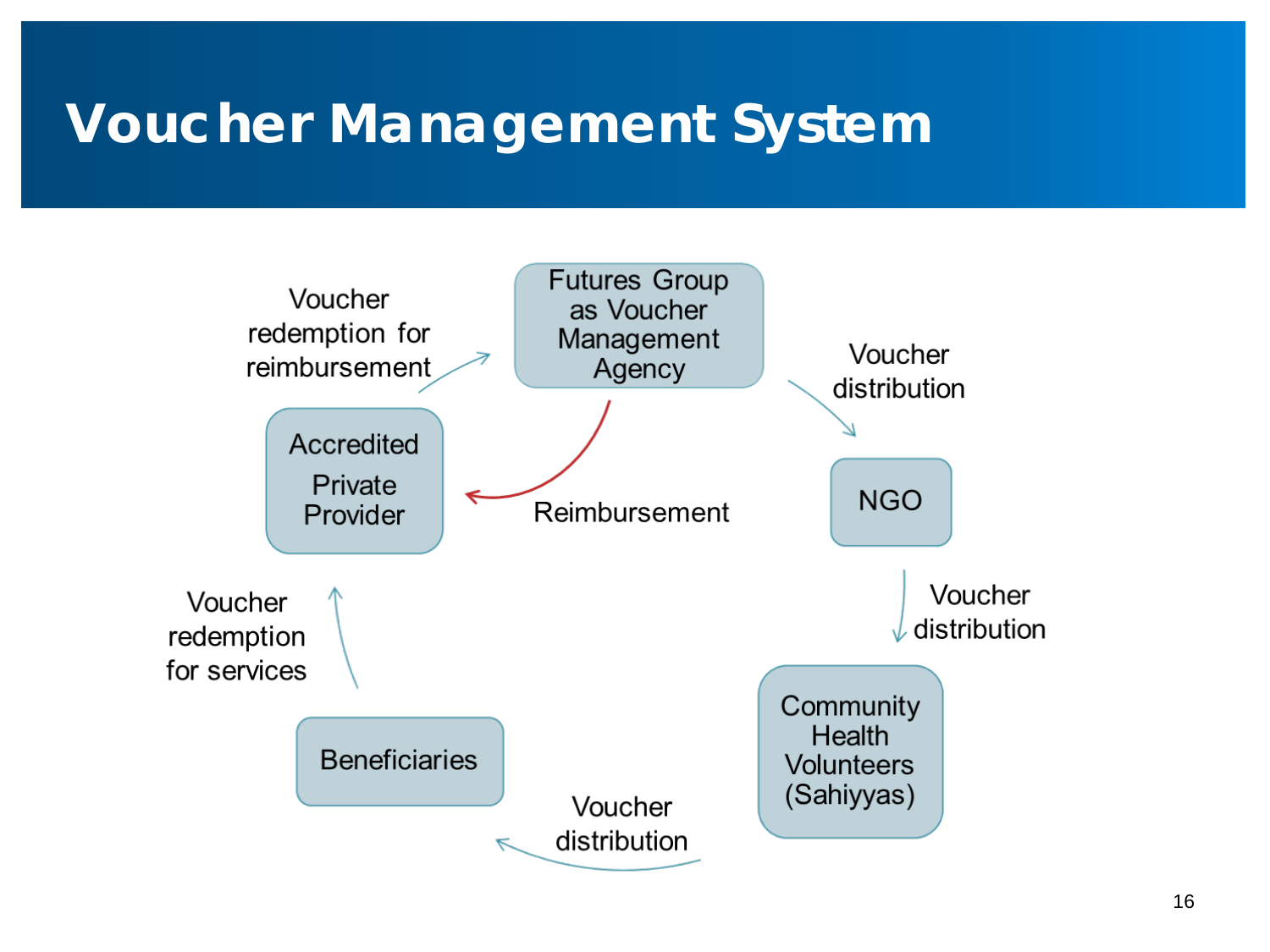### **Voucher Management System**

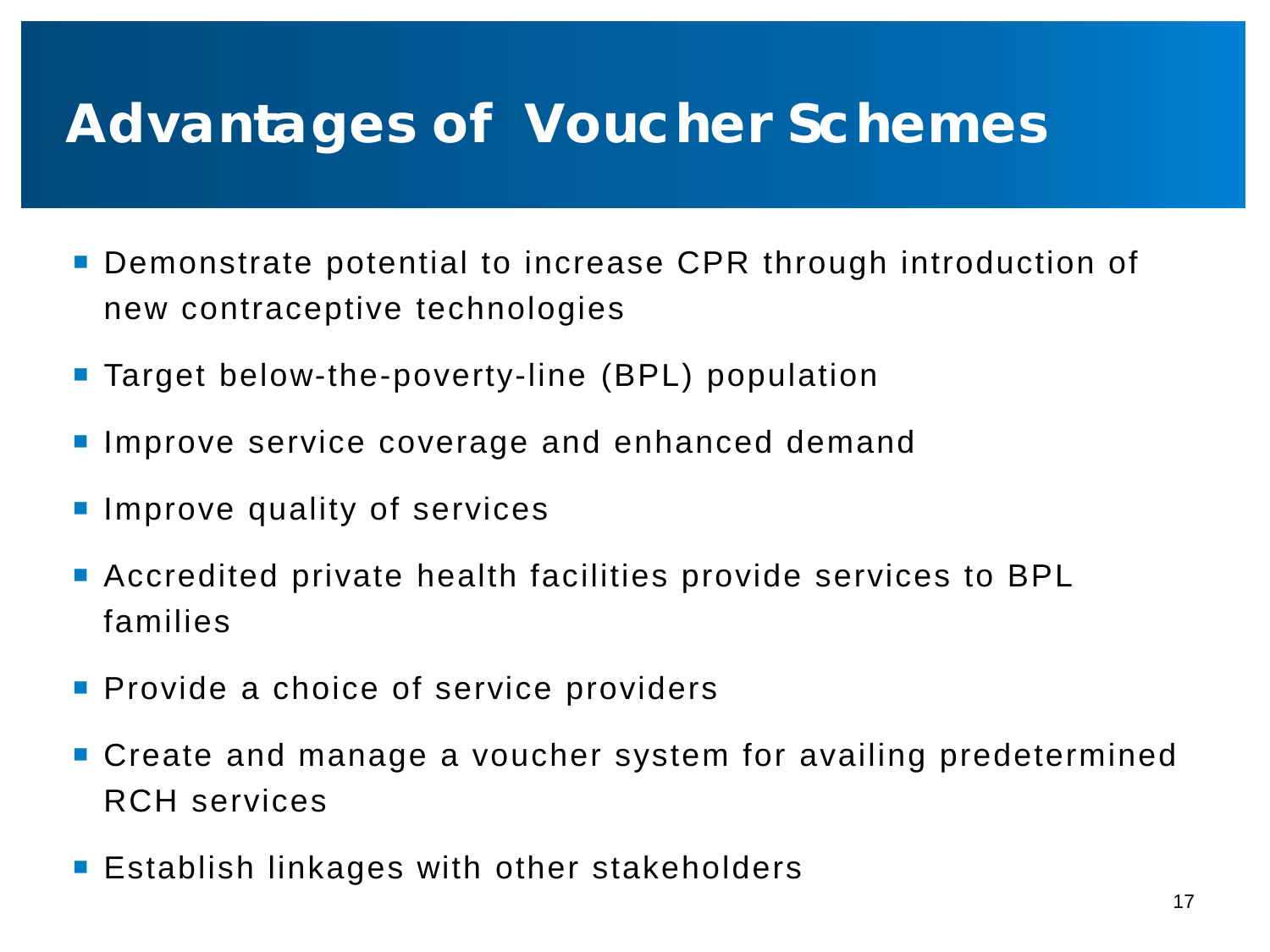### **Advantages of Voucher Schemes**

- **Demonstrate potential to increase CPR through introduction of** new contraceptive technologies
- **Target below-the-poverty-line (BPL) population**
- **Improve service coverage and enhanced demand**
- **Improve quality of services**
- Accredited private health facilities provide services to BPL families
- **Provide a choice of service providers**
- Create and manage a voucher system for availing predetermined RCH services
- **Establish linkages with other stakeholders**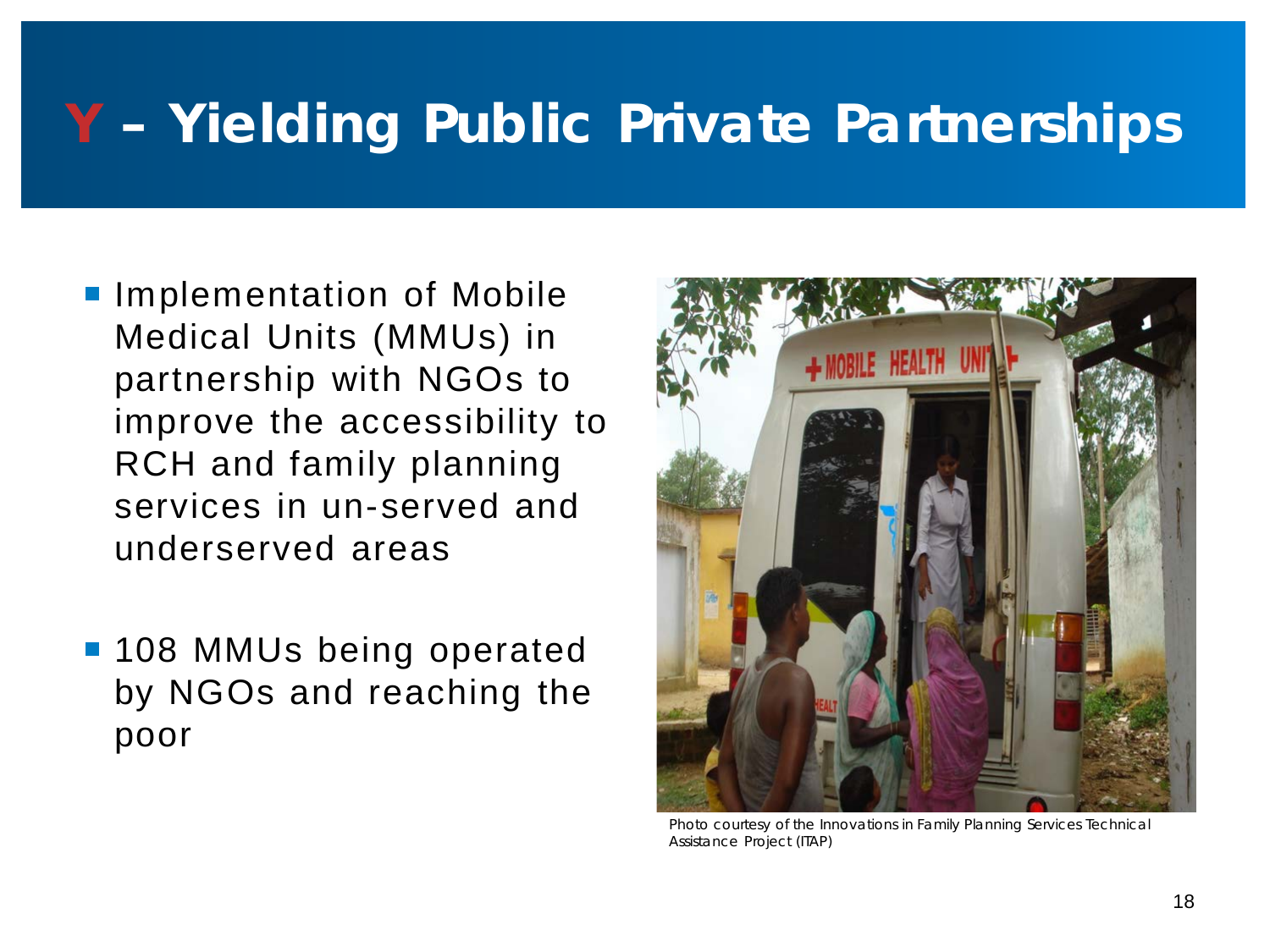## **Y – Yielding Public Private Partnerships**

- **Implementation of Mobile** Medical Units (MMUs) in partnership with NGOs to improve the accessibility to RCH and family planning services in un-served and underserved areas
- **108 MMUs being operated** by NGOs and reaching the poor



Photo courtesy of the Innovations in Family Planning Services Technical Assistance Project (ITAP)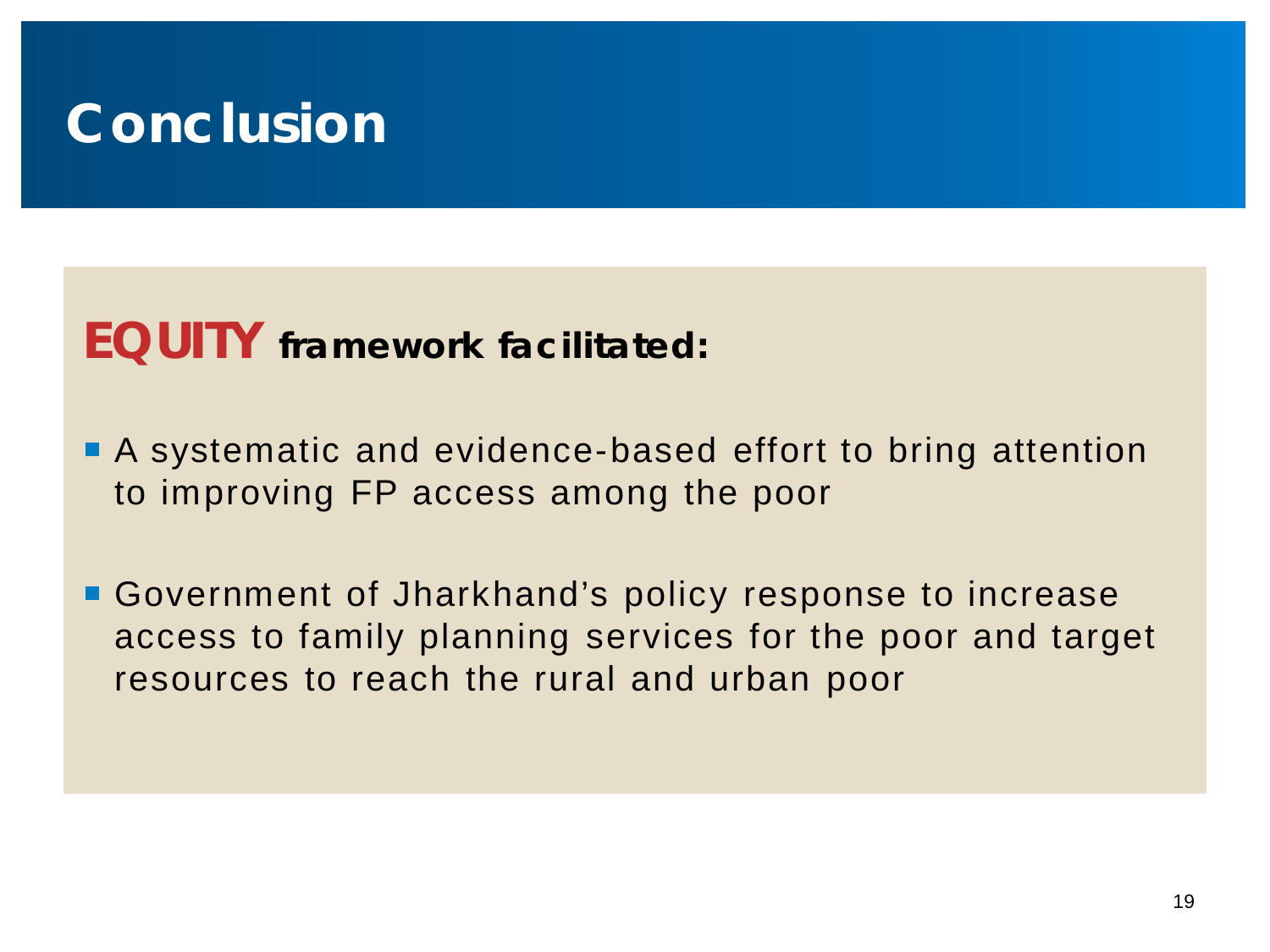## **Conclusion**

### **EQUITY framework facilitated:**

- A systematic and evidence-based effort to bring attention to improving FP access among the poor
- Government of Jharkhand's policy response to increase access to family planning services for the poor and target resources to reach the rural and urban poor